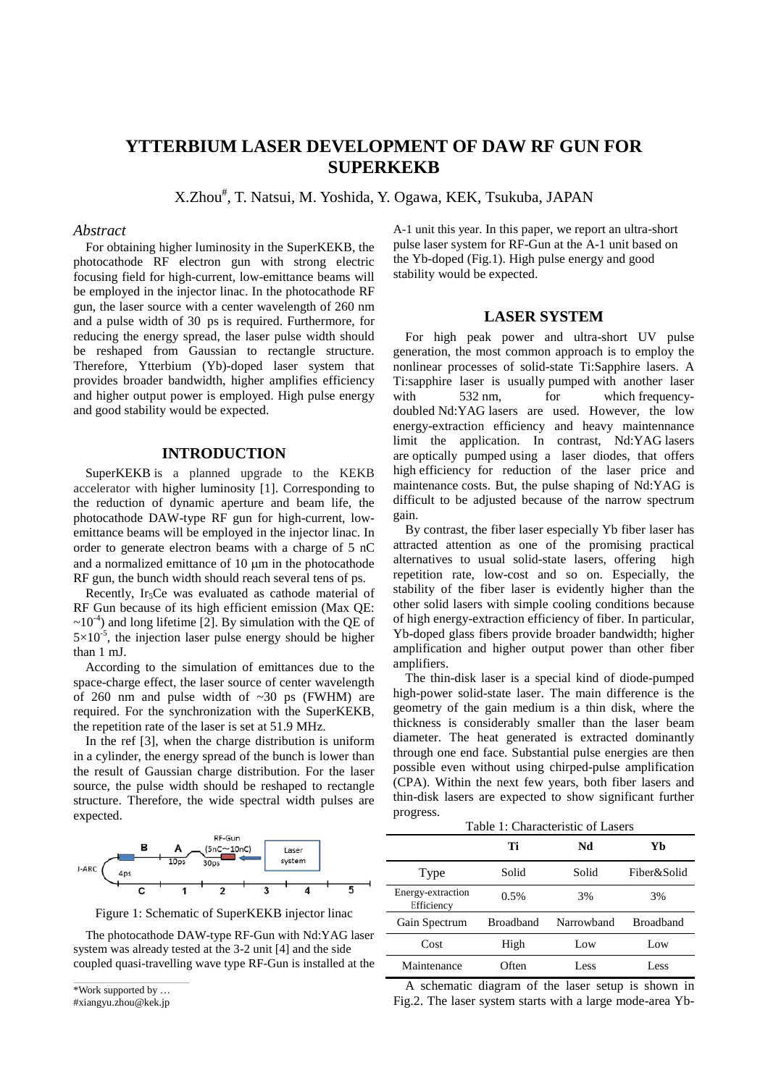# **YTTERBIUM LASER DEVELOPMENT OF DAW RF GUN FOR SUPERKEKB**

X.Zhou<sup>#</sup>, T. Natsui, M. Yoshida, Y. Ogawa, KEK, Tsukuba, JAPAN

#### *Abstract*

For obtaining higher luminosity in the SuperKEKB, the photocathode RF electron gun with strong electric focusing field for high-current, low-emittance beams will be employed in the injector linac. In the photocathode RF gun, the laser source with a center wavelength of 260 nm and a pulse width of 30 ps is required. Furthermore, for reducing the energy spread, the laser pulse width should be reshaped from Gaussian to rectangle structure. Therefore, Ytterbium (Yb)-doped laser system that provides broader bandwidth, higher amplifies efficiency and higher output power is employed. High pulse energy and good stability would be expected.

### **INTRODUCTION**

SuperKEKB is a planned upgrade to the KEKB accelerator with higher luminosity [1]. Corresponding to the reduction of dynamic aperture and beam life, the photocathode DAW-type RF gun for high-current, lowemittance beams will be employed in the injector linac. In order to generate electron beams with a charge of 5 nC and a normalized emittance of 10 µm in the photocathode RF gun, the bunch width should reach several tens of ps.

Recently, Ir<sub>5</sub>Ce was evaluated as cathode material of RF Gun because of its high efficient emission (Max QE:  $\sim$ 10<sup>-4</sup>) and long lifetime [2]. By simulation with the QE of  $5 \times 10^{-5}$ , the injection laser pulse energy should be higher than 1 mJ.

According to the simulation of emittances due to the space-charge effect, the laser source of center wavelength of 260 nm and pulse width of  $\sim$ 30 ps (FWHM) are required. For the synchronization with the SuperKEKB, the repetition rate of the laser is set at 51.9 MHz.

In the ref [3], when the charge distribution is uniform in a cylinder, the energy spread of the bunch is lower than the result of Gaussian charge distribution. For the laser source, the pulse width should be reshaped to rectangle structure. Therefore, the wide spectral width pulses are expected.



Figure 1: Schematic of SuperKEKB injector linac

The photocathode DAW-type RF-Gun with Nd:YAG laser system was already tested at the 3-2 unit [4] and the side coupled quasi-travelling wave type RF-Gun is installed at the

\_\_\_\_\_\_\_\_\_\_\_\_\_\_\_\_\_\_\_\_\_\_\_\_\_\_\_\_\_\_\_\_\_\_\_\_\_\_\_\_\_\_\_\_ \*Work supported by …

#xiangyu.zhou@kek.jp

A-1 unit this year. In this paper, we report an ultra-short pulse laser system for RF-Gun at the A-1 unit based on the Yb-doped (Fig.1). High pulse energy and good stability would be expected.

## **LASER SYSTEM**

For high peak power and ultra-short UV pulse generation, the most common approach is to employ the nonlinear processes of solid-state Ti:Sapphire lasers. A Ti:sapphire laser is usually pumped with another laser<br>with 532 nm. for which frequency532 nm, for which [frequency](http://en.wikipedia.org/wiki/Second_harmonic_generation)[doubled](http://en.wikipedia.org/wiki/Second_harmonic_generation) [Nd:YAG](http://en.wikipedia.org/wiki/Nd:YAG) lasers are used. However, the low energy-extraction efficiency and heavy maintennance limit the application. In contrast, Nd[:YAG](http://en.wikipedia.org/wiki/Yttrium_aluminium_garnet) lasers are optically pumped using a laser diodes, that offers high efficiency for reduction of the laser price and maintenance costs. But, the pulse shaping of Nd:YAG is difficult to be adjusted because of the narrow spectrum gain.

By contrast, the fiber laser especially Yb fiber laser has attracted attention as one of the promising practical alternatives to usual solid-state lasers, offering high repetition rate, low-cost and so on. Especially, the stability of the fiber laser is evidently higher than the other solid lasers with simple cooling conditions because of high energy-extraction efficiency of fiber. In particular, Yb-doped glass fibers provide broader bandwidth; higher amplification and higher output power than other fiber amplifiers.

The thin-disk laser is a special kind of diode-pumped high-power solid-state laser. The main difference is the geometry of the [gain medium](http://www.rp-photonics.com/gain_media.html) is a thin disk, where the thickness is considerably smaller than the laser beam diameter. The heat generated is extracted dominantly through one end face. Substantial pulse energies are then possible even without using chirped-pulse amplification (CPA). Within the next few years, both fiber lasers and thin-disk lasers are expected to show significant further progress.

Table 1: Characteristic of Lasers

|                                 | Ti               | Nd         | Yb               |
|---------------------------------|------------------|------------|------------------|
| Type                            | Solid            | Solid      | Fiber&Solid      |
| Energy-extraction<br>Efficiency | 0.5%             | 3%         | 3%               |
| Gain Spectrum                   | <b>Broadband</b> | Narrowband | <b>Broadband</b> |
| Cost                            | High             | Low        | Low              |
| Maintenance                     | Often            | Less       | Less             |

A schematic diagram of the laser setup is shown in Fig.2. The laser system starts with a large mode-area Yb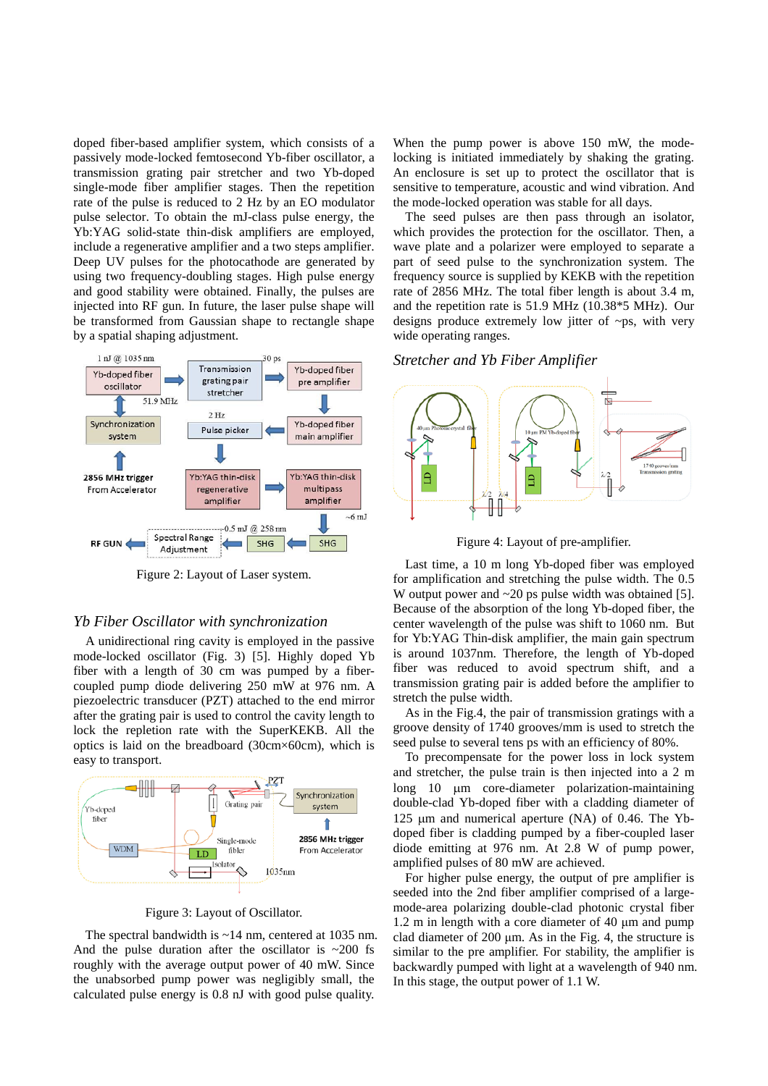doped fiber-based amplifier system, which consists of a passively mode-locked femtosecond Yb-fiber oscillator, a transmission grating pair stretcher and two Yb-doped single-mode fiber amplifier stages. Then the repetition rate of the pulse is reduced to 2 Hz by an EO modulator pulse selector. To obtain the mJ-class pulse energy, the Yb:YAG solid-state thin-disk amplifiers are employed, include a regenerative amplifier and a two steps amplifier. Deep UV pulses for the photocathode are generated by using two frequency-doubling stages. High pulse energy and good stability were obtained. Finally, the pulses are injected into RF gun. In future, the laser pulse shape will be transformed from Gaussian shape to rectangle shape by a spatial shaping adjustment.



Figure 2: Layout of Laser system.

#### *Yb Fiber Oscillator with synchronization*

A unidirectional ring cavity is employed in the passive mode-locked oscillator (Fig. 3) [5]. Highly doped Yb fiber with a length of 30 cm was pumped by a fibercoupled pump diode delivering 250 mW at 976 nm. A piezoelectric transducer (PZT) attached to the end mirror after the grating pair is used to control the cavity length to lock the repletion rate with the SuperKEKB. All the optics is laid on the breadboard (30cm×60cm), which is easy to transport.



Figure 3: Layout of Oscillator.

The spectral bandwidth is  $\sim$ 14 nm, centered at 1035 nm. And the pulse duration after the oscillator is  $\sim$  200 fs roughly with the average output power of 40 mW. Since the unabsorbed pump power was negligibly small, the calculated pulse energy is 0.8 nJ with good pulse quality.

When the pump power is above 150 mW, the modelocking is initiated immediately by shaking the grating. An enclosure is set up to protect the oscillator that is sensitive to temperature, acoustic and wind vibration. And the mode-locked operation was stable for all days.

The seed pulses are then pass through an isolator, which provides the protection for the oscillator. Then, a wave plate and a polarizer were employed to separate a part of seed pulse to the synchronization system. The frequency source is supplied by KEKB with the repetition rate of 2856 MHz. The total fiber length is about 3.4 m, and the repetition rate is 51.9 MHz (10.38\*5 MHz). Our designs produce extremely low jitter of ~ps, with very wide operating ranges.

## *Stretcher and Yb Fiber Amplifier*



Figure 4: Layout of pre-amplifier.

Last time, a 10 m long Yb-doped fiber was employed for amplification and stretching the pulse width. The 0.5 W output power and  $\sim$  20 ps pulse width was obtained [5]. Because of the absorption of the long Yb-doped fiber, the center wavelength of the pulse was shift to 1060 nm. But for Yb:YAG Thin-disk amplifier, the main gain spectrum is around 1037nm. Therefore, the length of Yb-doped fiber was reduced to avoid spectrum shift, and a transmission grating pair is added before the amplifier to stretch the pulse width.

As in the Fig.4, the pair of transmission gratings with a groove density of 1740 grooves/mm is used to stretch the seed pulse to several tens ps with an efficiency of 80%.

To precompensate for the power loss in lock system and stretcher, the pulse train is then injected into a 2 m long 10 µm core-diameter polarization-maintaining double-clad Yb-doped fiber with a cladding diameter of 125 µm and numerical aperture (NA) of 0.46. The Ybdoped fiber is cladding pumped by a fiber-coupled laser diode emitting at 976 nm. At 2.8 W of pump power, amplified pulses of 80 mW are achieved.

For higher pulse energy, the output of pre amplifier is seeded into the 2nd fiber amplifier comprised of a largemode-area polarizing double-clad photonic crystal fiber 1.2 m in length with a core diameter of 40 μm and pump clad diameter of 200 μm. As in the Fig. 4, the structure is similar to the pre amplifier. For stability, the amplifier is backwardly pumped with light at a wavelength of 940 nm. In this stage, the output power of 1.1 W.